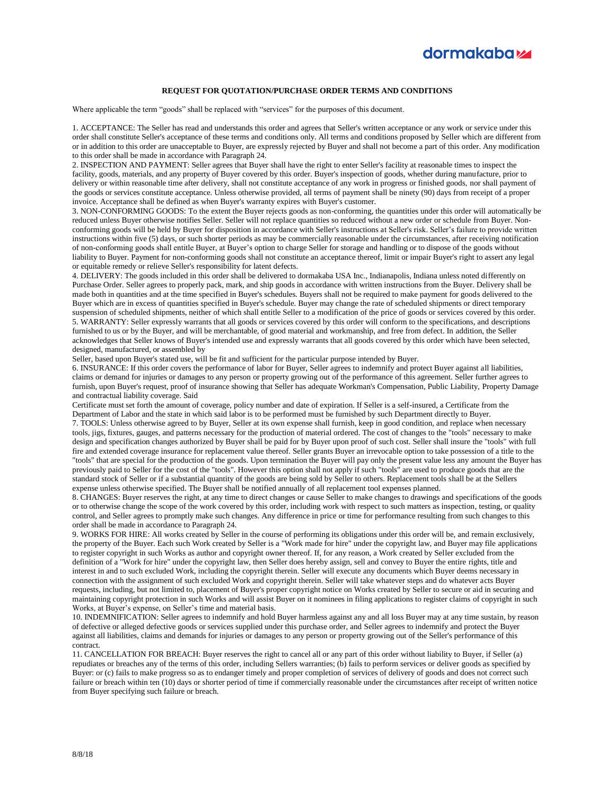

## **REQUEST FOR QUOTATION/PURCHASE ORDER TERMS AND CONDITIONS**

Where applicable the term "goods" shall be replaced with "services" for the purposes of this document.

1. ACCEPTANCE: The Seller has read and understands this order and agrees that Seller's written acceptance or any work or service under this order shall constitute Seller's acceptance of these terms and conditions only. All terms and conditions proposed by Seller which are different from or in addition to this order are unacceptable to Buyer, are expressly rejected by Buyer and shall not become a part of this order. Any modification to this order shall be made in accordance with Paragraph 24.

2. INSPECTION AND PAYMENT: Seller agrees that Buyer shall have the right to enter Seller's facility at reasonable times to inspect the facility, goods, materials, and any property of Buyer covered by this order. Buyer's inspection of goods, whether during manufacture, prior to delivery or within reasonable time after delivery, shall not constitute acceptance of any work in progress or finished goods, nor shall payment of the goods or services constitute acceptance. Unless otherwise provided, all terms of payment shall be ninety (90) days from receipt of a proper invoice. Acceptance shall be defined as when Buyer's warranty expires with Buyer's customer.

3. NON-CONFORMING GOODS: To the extent the Buyer rejects goods as non-conforming, the quantities under this order will automatically be reduced unless Buyer otherwise notifies Seller. Seller will not replace quantities so reduced without a new order or schedule from Buyer. Nonconforming goods will be held by Buyer for disposition in accordance with Seller's instructions at Seller's risk. Seller's failure to provide written instructions within five (5) days, or such shorter periods as may be commercially reasonable under the circumstances, after receiving notification of non-conforming goods shall entitle Buyer, at Buyer's option to charge Seller for storage and handling or to dispose of the goods without liability to Buyer. Payment for non-conforming goods shall not constitute an acceptance thereof, limit or impair Buyer's right to assert any legal or equitable remedy or relieve Seller's responsibility for latent defects.

4. DELIVERY: The goods included in this order shall be delivered to dormakaba USA Inc., Indianapolis, Indiana unless noted differently on Purchase Order. Seller agrees to properly pack, mark, and ship goods in accordance with written instructions from the Buyer. Delivery shall be made both in quantities and at the time specified in Buyer's schedules. Buyers shall not be required to make payment for goods delivered to the Buyer which are in excess of quantities specified in Buyer's schedule. Buyer may change the rate of scheduled shipments or direct temporary suspension of scheduled shipments, neither of which shall entitle Seller to a modification of the price of goods or services covered by this order. 5. WARRANTY: Seller expressly warrants that all goods or services covered by this order will conform to the specifications, and descriptions furnished to us or by the Buyer, and will be merchantable, of good material and workmanship, and free from defect. In addition, the Seller acknowledges that Seller knows of Buyer's intended use and expressly warrants that all goods covered by this order which have been selected, designed, manufactured, or assembled by

Seller, based upon Buyer's stated use, will be fit and sufficient for the particular purpose intended by Buyer.

6. INSURANCE: If this order covers the performance of labor for Buyer, Seller agrees to indemnify and protect Buyer against all liabilities, claims or demand for injuries or damages to any person or property growing out of the performance of this agreement. Seller further agrees to furnish, upon Buyer's request, proof of insurance showing that Seller has adequate Workman's Compensation, Public Liability, Property Damage and contractual liability coverage. Said

Certificate must set forth the amount of coverage, policy number and date of expiration. If Seller is a self-insured, a Certificate from the Department of Labor and the state in which said labor is to be performed must be furnished by such Department directly to Buyer. 7. TOOLS: Unless otherwise agreed to by Buyer, Seller at its own expense shall furnish, keep in good condition, and replace when necessary tools, jigs, fixtures, gauges, and patterns necessary for the production of material ordered. The cost of changes to the "tools" necessary to make design and specification changes authorized by Buyer shall be paid for by Buyer upon proof of such cost. Seller shall insure the "tools" with full fire and extended coverage insurance for replacement value thereof. Seller grants Buyer an irrevocable option to take possession of a title to the "tools" that are special for the production of the goods. Upon termination the Buyer will pay only the present value less any amount the Buyer has previously paid to Seller for the cost of the "tools". However this option shall not apply if such "tools" are used to produce goods that are the standard stock of Seller or if a substantial quantity of the goods are being sold by Seller to others. Replacement tools shall be at the Sellers expense unless otherwise specified. The Buyer shall be notified annually of all replacement tool expenses planned.

8. CHANGES: Buyer reserves the right, at any time to direct changes or cause Seller to make changes to drawings and specifications of the goods or to otherwise change the scope of the work covered by this order, including work with respect to such matters as inspection, testing, or quality control, and Seller agrees to promptly make such changes. Any difference in price or time for performance resulting from such changes to this order shall be made in accordance to Paragraph 24.

9. WORKS FOR HIRE: All works created by Seller in the course of performing its obligations under this order will be, and remain exclusively, the property of the Buyer. Each such Work created by Seller is a "Work made for hire" under the copyright law, and Buyer may file applications to register copyright in such Works as author and copyright owner thereof. If, for any reason, a Work created by Seller excluded from the definition of a "Work for hire" under the copyright law, then Seller does hereby assign, sell and convey to Buyer the entire rights, title and interest in and to such excluded Work, including the copyright therein. Seller will execute any documents which Buyer deems necessary in connection with the assignment of such excluded Work and copyright therein. Seller will take whatever steps and do whatever acts Buyer requests, including, but not limited to, placement of Buyer's proper copyright notice on Works created by Seller to secure or aid in securing and maintaining copyright protection in such Works and will assist Buyer on it nominees in filing applications to register claims of copyright in such Works, at Buyer's expense, on Seller's time and material basis.

10. INDEMNIFICATION: Seller agrees to indemnify and hold Buyer harmless against any and all loss Buyer may at any time sustain, by reason of defective or alleged defective goods or services supplied under this purchase order, and Seller agrees to indemnify and protect the Buyer against all liabilities, claims and demands for injuries or damages to any person or property growing out of the Seller's performance of this contract.

11. CANCELLATION FOR BREACH: Buyer reserves the right to cancel all or any part of this order without liability to Buyer, if Seller (a) repudiates or breaches any of the terms of this order, including Sellers warranties; (b) fails to perform services or deliver goods as specified by Buyer: or (c) fails to make progress so as to endanger timely and proper completion of services of delivery of goods and does not correct such failure or breach within ten (10) days or shorter period of time if commercially reasonable under the circumstances after receipt of written notice from Buyer specifying such failure or breach.